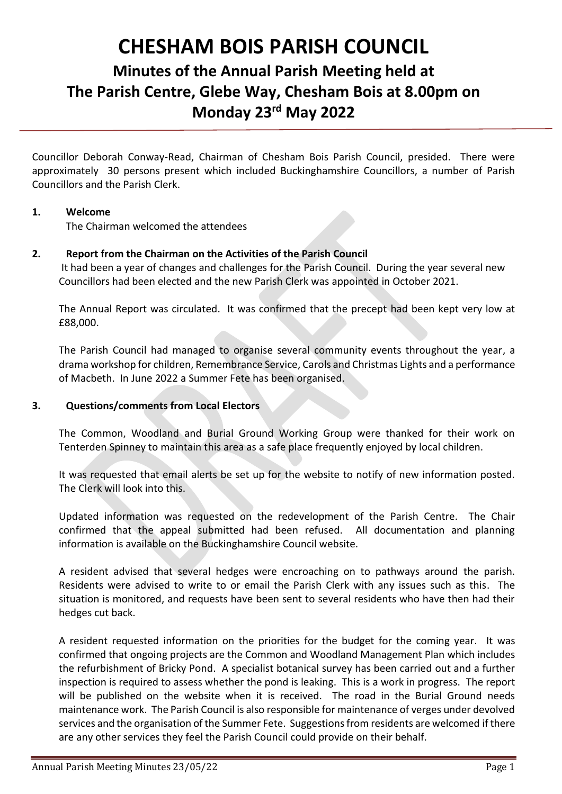# **CHESHAM BOIS PARISH COUNCIL**

# **Minutes of the Annual Parish Meeting held at The Parish Centre, Glebe Way, Chesham Bois at 8.00pm on Monday 23rd May 2022**

Councillor Deborah Conway-Read, Chairman of Chesham Bois Parish Council, presided. There were approximately 30 persons present which included Buckinghamshire Councillors, a number of Parish Councillors and the Parish Clerk.

## **1. Welcome**

The Chairman welcomed the attendees

# **2. Report from the Chairman on the Activities of the Parish Council**

It had been a year of changes and challenges for the Parish Council. During the year several new Councillors had been elected and the new Parish Clerk was appointed in October 2021.

The Annual Report was circulated. It was confirmed that the precept had been kept very low at £88,000.

The Parish Council had managed to organise several community events throughout the year, a drama workshop for children, Remembrance Service, Carols and Christmas Lights and a performance of Macbeth. In June 2022 a Summer Fete has been organised.

## **3. Questions/comments from Local Electors**

The Common, Woodland and Burial Ground Working Group were thanked for their work on Tenterden Spinney to maintain this area as a safe place frequently enjoyed by local children.

It was requested that email alerts be set up for the website to notify of new information posted. The Clerk will look into this.

Updated information was requested on the redevelopment of the Parish Centre. The Chair confirmed that the appeal submitted had been refused. All documentation and planning information is available on the Buckinghamshire Council website.

A resident advised that several hedges were encroaching on to pathways around the parish. Residents were advised to write to or email the Parish Clerk with any issues such as this. The situation is monitored, and requests have been sent to several residents who have then had their hedges cut back.

A resident requested information on the priorities for the budget for the coming year. It was confirmed that ongoing projects are the Common and Woodland Management Plan which includes the refurbishment of Bricky Pond. A specialist botanical survey has been carried out and a further inspection is required to assess whether the pond is leaking. This is a work in progress. The report will be published on the website when it is received. The road in the Burial Ground needs maintenance work. The Parish Council is also responsible for maintenance of verges under devolved services and the organisation of the Summer Fete. Suggestions from residents are welcomed if there are any other services they feel the Parish Council could provide on their behalf.